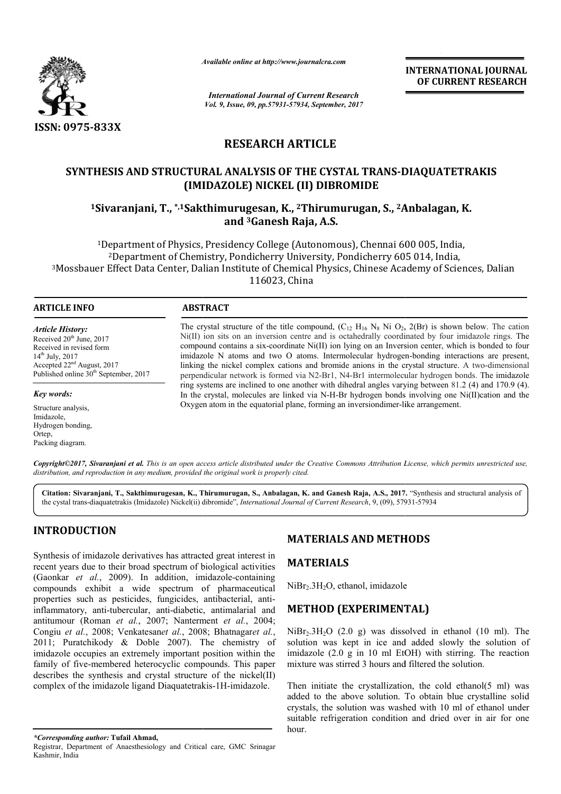

*Available online at http://www.journal http://www.journalcra.com*

*International Journal of Current Research Vol. 9, Issue, 09, pp.57931-57934, September, 2017* **INTERNATIONAL JOURNAL OF CURRENT RESEARCH** 

# **RESEARCH ARTICLE**

# SYNTHESIS AND STRUCTURAL ANALYSIS OF THE CYSTAL TRANS-DIAQUATETRAKIS<br>(IMIDAZOLE) NICKEL (II) DIBROMIDE<br><sup>1</sup>Sivaranjani, T., \*<sup>,1</sup>Sakthimurugesan, K., <sup>2</sup>Thirumurugan, S., <sup>2</sup>Anbalagan, K. **(IMIDAZOLE) NICKEL (II) DIBROMIDE**

**1Sivaranjani, T., \*,1Sakthimurugesan, Sakthimurugesan, K., 2Thirumurugan, S., 2Anbalagan, and 3Ganesh Raja, A.S.**

<sup>1</sup>Department of Physics, Presidency College (Autonomous), Chennai 600 005, India, 2Department of Chemistry, Pondicherry University, Pondicherry 605 014, India, <sup>1</sup>Department of Physics, Presidency College (Autonomous), Chennai 600 005, India,<br><sup>2</sup>Department of Chemistry, Pondicherry University, Pondicherry 605 014, India,<br><sup>3</sup>Mossbauer Effect Data Center, Dalian Institute of Chemic 116023, China

#### **ARTICLE INFO ABSTRACT**

*Article History:* Received 20<sup>th</sup> June, 2017 Received in revised form 14th July, 2017 Accepted 22nd August, 2017 Published online  $30<sup>th</sup>$  September, 2017

*Key words:*

Structure analysis, Imidazole, Hydrogen bonding, Ortep, Packing diagram.

The crystal structure of the title compound,  $(C_{12} H_{16} N_8 N_1 O_2, 2(Br)$  is shown below. The cation  $Ni(II)$  ion sits on an inversion centre and is octahedrally coordinated by four imidazole rings. The compound contains a six-coordinate Ni(II) ion lying on an Inversion center, which is bonded to four compound contains a six-coordinate Ni(II) ion lying on an Inversion center, which is bonded to four imidazole N atoms and two O atoms. Intermolecular hydrogen-bonding interactions are present, linking the nickel complex cations and bromide anions in the crystal structure. A two-dimensional perpendicular network is formed via N2-Br1, N4-Br1 intermolecular hydrogen bonds. The imidazole ring systems are inclined to one another with dihedral angles varying between 81.2 (4) and 170.9 (4). In the crystal, molecules are linked via N-H-Br hydrogen bonds involving one Ni(II)cation and the Oxygen atom in the equatorial plane, forming an inversion dimer-like arrangement. Oxygen atom in the equatorial plane, forming an inversiondimer-like arrangement.

Copyright©2017, Sivaranjani et al. This is an open access article distributed under the Creative Commons Attribution License, which permits unrestricted use, *distribution, and reproduction in any medium, provided the original work is properly cited.*

**Citation: Sivaranjani, T., Sakthimurugesan, K., Thirumurugan, S., Anbalagan, K. and Ganesh Raja, A.S., 2017. 2017.** "Synthesis and structural analysis of the cystal trans-diaquatetrakis (Imidazole) Nickel(ii) dibromide", *International Journal of Current Research*, 9, (09), 57931-57934

# **INTRODUCTION**

Kashmir, India

Synthesis of imidazole derivatives has attracted great interest in recent years due to their broad spectrum of biological activities (Gaonkar et al., 2009). In addition, imidazole-containing compounds exhibit a wide spectrum of pharmaceutical compounds exhibit a wide spectrum of pharmaceutical<br>properties such as pesticides, fungicides, antibacterial, antiinflammatory, anti-tubercular, anti-diabetic, antimalarial and antitumour (Roman *et al.*, 2007; Nanterment *et al.*, 2004; Congiu *et al.*, 2008; Venkatesan*et al.*, 2008; Bhatnagar *et al.*, 2011; Puratchikody & Doble 2007). The chemistry of imidazole occupies an extremely important position within the family of five-membered heterocyclic compounds. This paper family of five-membered heterocyclic compounds. This paper describes the synthesis and crystal structure of the nickel(II) complex of the imidazole ligand Diaquatetrakis Diaquatetrakis-1H-imidazole.

#### **MATERIALS AND METHODS**

## **MATERIALS**

NiBr<sub>2</sub>.3H<sub>2</sub>O, ethanol, imidazole

# **METHOD (EXPERIMENTAL)**

 $NiBr<sub>2</sub>.3H<sub>2</sub>O$  (2.0 g) was dissolved in ethanol (10 ml). The solution was kept in ice and added slowly the solution of imidazole (2.0 g in 10 ml EtOH) with stirring. The reaction mixture was stirred 3 hours and filtered the solution. H<sub>2</sub>O, ethanol, imidazole<br> **OD (EXPERIMENTAL)**<br>
H<sub>2</sub>O (2.0 g) was dissolved in ethanol (10 ml). The<br>
was kept in ice and added slowly the solution of<br>
le (2.0 g in 10 ml EtOH) with stirring. The reaction<br>
was stirred 3 ho

Then initiate the crystallization, the cold ethanol( $5$  ml) was added to the above solution. To obtain blue crystalline solid crystals, the solution was washed with 10 ml of ethanol under suitable refrigeration condition and dried over in air for one hour. mitiate the crystallization, the cold ethanol(5 ml) was<br>to the above solution. To obtain blue crystalline solid<br>s, the solution was washed with 10 ml of ethanol under<br>e refrigeration condition and dried over in air for one

*<sup>\*</sup>Corresponding author:* **Tufail Ahmad,** Registrar, Department of Anaesthesiology and Critical care, GMC Srinagar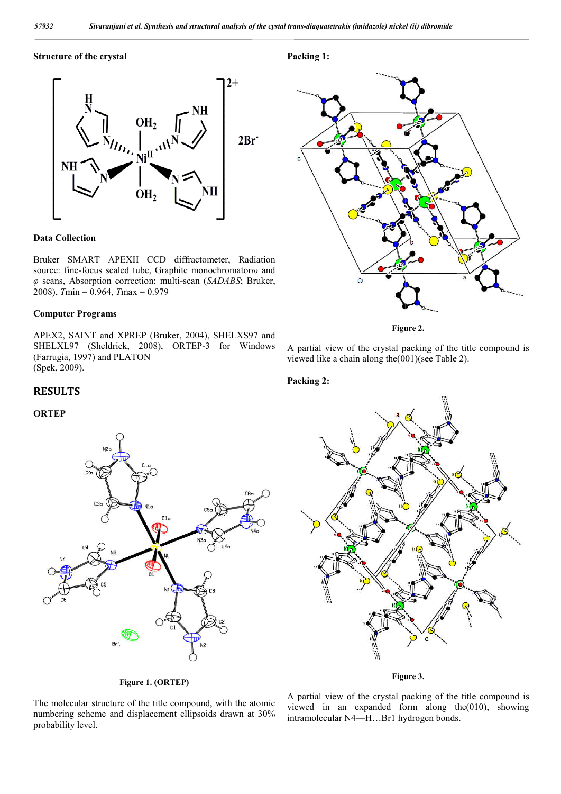**Packing 1:**

**Packing 2:**

#### **Structure of the crystal**



#### **Data Collection**

Bruker SMART APEXII CCD diffractometer, Radiation source: fine-focus sealed tube, Graphite monochromator *ω* and  $\varphi$  scans, Absorption correction: multi-scan *(SADABS*; Bruker, 2008), *T*min = 0.964, *T*max = 0.979

#### **Computer Programs**

APEX2, SAINT and XPREP (Bruker, 2004), SHELXS97 and SHELXL97 (Sheldrick, 2008), ORTEP-3 for Windows (Farrugia, 1997) and PLATON (Spek, 2009).



**Figure 2 2.**

A partial view of the crystal packing of the title compound is A partial view of the crystal packing of the tit<br>viewed like a chain along the  $(001)$  (see Table 2).

#### **RESULTS**

#### **ORTEP**





#### **Figure 3 3.**

The molecular structure of the title compound, with the atomic numbering scheme and displacement ellipsoids drawn at 30% probability level.

**Figure 1. (ORTEP)**

A partial view of the crystal packing of the title compound is viewed in an expanded form along the(010), showing intramolecular N4—H…Br1 hydrogen bonds.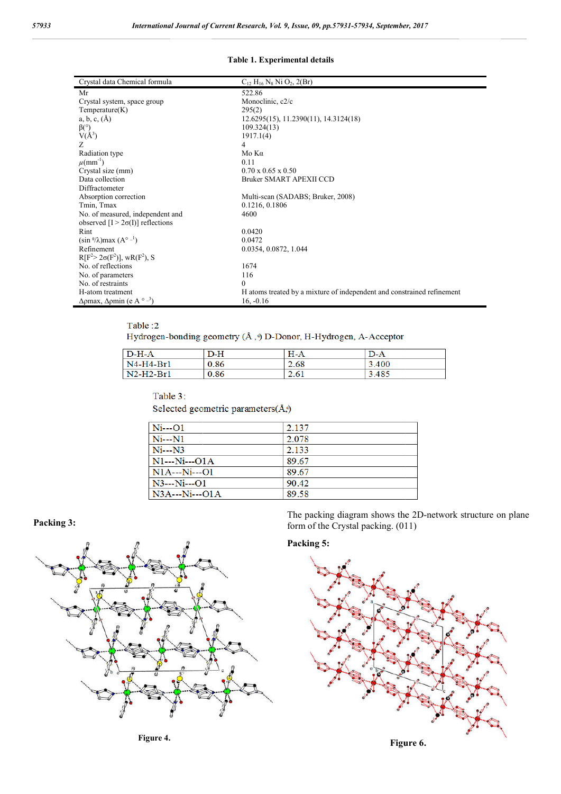#### **Table 1. Experimental details**

| Crystal data Chemical formula                                             | $C_{12}$ H <sub>16</sub> N <sub>8</sub> Ni O <sub>2</sub> , 2(Br)      |
|---------------------------------------------------------------------------|------------------------------------------------------------------------|
| Mr                                                                        | 522.86                                                                 |
| Crystal system, space group                                               | Monoclinic, c2/c                                                       |
| Temperature(K)                                                            | 295(2)                                                                 |
| $a, b, c, (\mathbf{A})$                                                   | 12.6295(15), 11.2390(11), 14.3124(18)                                  |
| $\beta$ <sup>o</sup> )                                                    | 109.324(13)                                                            |
| $V(A^3)$                                                                  | 1917.1(4)                                                              |
| Z                                                                         | 4                                                                      |
| Radiation type                                                            | $M$ ο Κα                                                               |
| $\mu$ (mm <sup>-1</sup> )                                                 | 0.11                                                                   |
| Crystal size (mm)                                                         | $0.70 \times 0.65 \times 0.50$                                         |
| Data collection                                                           | Bruker SMART APEXII CCD                                                |
| Diffractometer                                                            |                                                                        |
| Absorption correction                                                     | Multi-scan (SADABS; Bruker, 2008)                                      |
| Tmin, Tmax                                                                | 0.1216, 0.1806                                                         |
| No. of measured, independent and                                          | 4600                                                                   |
| observed $[I > 2\sigma(I)]$ reflections                                   |                                                                        |
| Rint                                                                      | 0.0420                                                                 |
| $(\sin \frac{\theta}{\lambda})$ max $(A^{\circ} - 1)$                     | 0.0472                                                                 |
| Refinement                                                                | 0.0354, 0.0872, 1.044                                                  |
| $R[F^2 > 2\sigma(F^2)]$ , w $R(F^2)$ , S                                  |                                                                        |
| No. of reflections                                                        | 1674                                                                   |
| No. of parameters                                                         | 116                                                                    |
| No. of restraints                                                         | $\mathbf{0}$                                                           |
| H-atom treatment                                                          | H atoms treated by a mixture of independent and constrained refinement |
| $\Delta$ <i>pmax</i> , $\Delta$ <i>pmin</i> (e A $\circ$ - <sup>3</sup> ) | $16, -0.16$                                                            |

#### Table:2

Hydrogen-bonding geometry (Å, ) D-Donor, H-Hydrogen, A-Acceptor

| $D-H-A$     | D-H  | $H-A$ | $D-A$ |
|-------------|------|-------|-------|
| $N4-H4-Br1$ | 0.86 | 2.68  | 3.400 |
| N2-H2-Br1   | 0.86 | 2.61  | 3.485 |

#### Table 3:

Selected geometric parameters(Å,)

| $Ni--O1$       | 2.137 |
|----------------|-------|
| $Ni - N1$      | 2.078 |
| $Ni--N3$       | 2.133 |
| $N1--Ni---O1A$ | 89.67 |
| $N1A--Ni--O1$  | 89.67 |
| $N3--Ni--O1$   | 90.42 |
| $N3A--Ni--O1A$ | 89.58 |

### **Packing 3:**



The packing diagram shows the 2D-network structure on plane form of the Crystal packing. (011)

# **Packing 5:**



**Figure 4.**